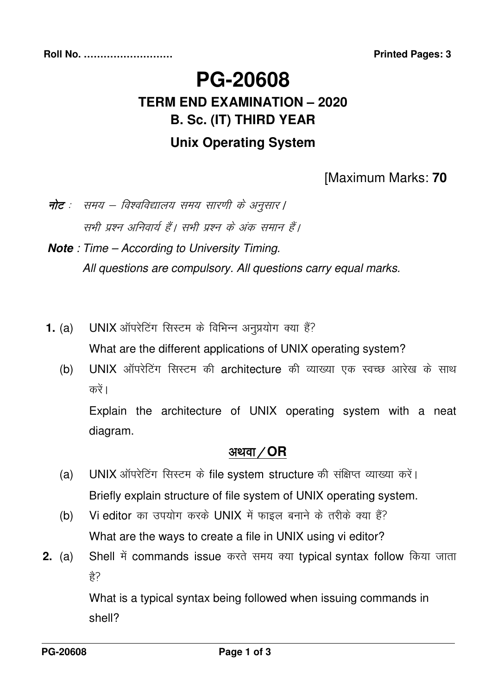# **PG-20608 TERM END EXAMINATION – 2020 B. Sc. (IT) THIRD YEAR Unix Operating System**

#### [Maximum Marks: **70**

नोट : समय – विश्वविद्यालय समय सारणी के अनुसार | सभी प्रश्न अनिवार्य हैं। सभी प्रश्न के अंक समान हैं।

**Note** : Time – According to University Timing. All questions are compulsory. All questions carry equal marks.

- **1. (a) UNIX** ऑपरेटिंग सिस्टम के विभिन्न अनुप्रयोग क्या हैं? What are the different applications of UNIX operating system?
	- (b) UNIX ऑपरेटिंग सिस्टम की architecture की व्याख्या एक स्वच्छ आरेख के साथ करें ।

 Explain the architecture of UNIX operating system with a neat diagram.

#### अथवा / **OR**

- (a) UNIX ऑपरेटिंग सिस्टम के file system structure की संक्षिप्त व्याख्या करें। Briefly explain structure of file system of UNIX operating system.
- (b) Vi editor का उपयोग करके UNIX में फाइल बनाने के तरीके क्या हैं? What are the ways to create a file in UNIX using vi editor?
- **2.** (a) Shell में commands issue करते समय क्या typical syntax follow किया जाता  $\frac{\lambda}{\beta}$ ?

What is a typical syntax being followed when issuing commands in shell?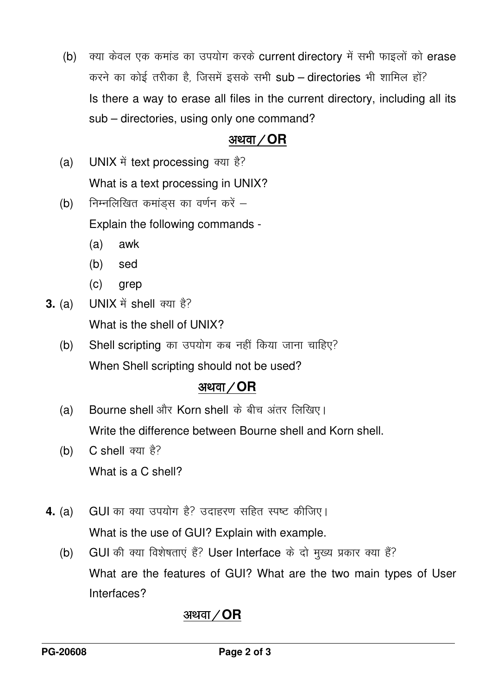(b) क्या केवल एक कमांड का उपयोग करके current directory में सभी फाइलों को erase करने का कोई तरीका है, जिसमें इसके सभी sub – directories भी शामिल हों? Is there a way to erase all files in the current directory, including all its sub – directories, using only one command?

#### अथवा **⁄ OR**

- (a) UNIX में text processing क्या है? What is a text processing in UNIX?
- (b) निम्नलिखित कमांड्स का वर्णन करें  $-$  Explain the following commands -
	- (a) awk
	- (b) sed
	- $(c)$  grep
- **3.** (a) UNIX में shell क्या है? What is the shell of UNIX?
	- $(b)$  Shell scripting का उपयोग कब नहीं किया जाना चाहिए? When Shell scripting should not be used?

### अथवा **/ OR**

- (a) Bourne shell और Korn shell के बीच अंतर लिखिए। Write the difference between Bourne shell and Korn shell.
- (b)  $C$  shell क्या है? What is a C shell?
- **4. (a) GUI** का क्या उपयोग है? उदाहरण सहित स्पष्ट कीजिए। What is the use of GUI? Explain with example.
	- (b) GUI की क्या विशेषताएं हैं? User Interface के दो मुख्य प्रकार क्या हैं? What are the features of GUI? What are the two main types of User Interfaces?

# अथवा / **OR**